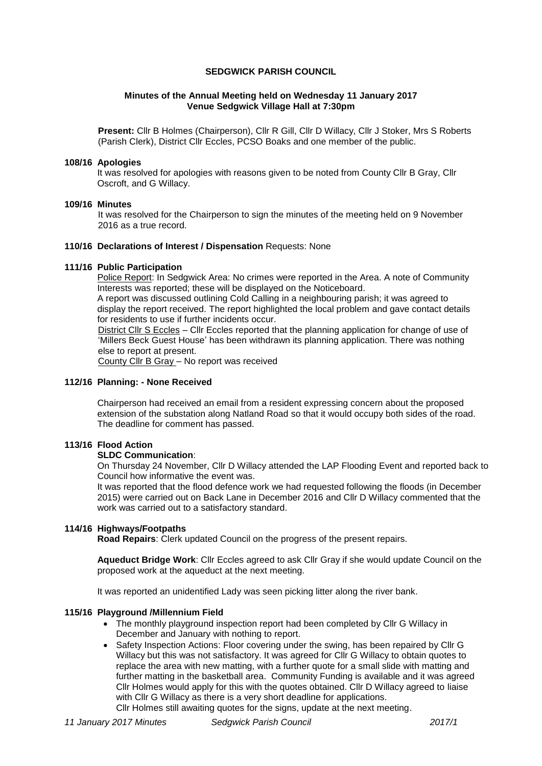## **SEDGWICK PARISH COUNCIL**

## **Minutes of the Annual Meeting held on Wednesday 11 January 2017 Venue Sedgwick Village Hall at 7:30pm**

**Present:** Cllr B Holmes (Chairperson), Cllr R Gill, Cllr D Willacy, Cllr J Stoker, Mrs S Roberts (Parish Clerk), District Cllr Eccles, PCSO Boaks and one member of the public.

### **108/16 Apologies**

It was resolved for apologies with reasons given to be noted from County Cllr B Gray, Cllr Oscroft, and G Willacy.

### **109/16 Minutes**

It was resolved for the Chairperson to sign the minutes of the meeting held on 9 November 2016 as a true record.

## **110/16 Declarations of Interest / Dispensation** Requests: None

### **111/16 Public Participation**

Police Report: In Sedgwick Area: No crimes were reported in the Area. A note of Community Interests was reported; these will be displayed on the Noticeboard.

A report was discussed outlining Cold Calling in a neighbouring parish; it was agreed to display the report received. The report highlighted the local problem and gave contact details for residents to use if further incidents occur.

District Cllr S Eccles – Cllr Eccles reported that the planning application for change of use of 'Millers Beck Guest House' has been withdrawn its planning application. There was nothing else to report at present.

County Cllr B Gray – No report was received

## **112/16 Planning: - None Received**

Chairperson had received an email from a resident expressing concern about the proposed extension of the substation along Natland Road so that it would occupy both sides of the road. The deadline for comment has passed.

# **113/16 Flood Action**

# **SLDC Communication**:

On Thursday 24 November, Cllr D Willacy attended the LAP Flooding Event and reported back to Council how informative the event was.

It was reported that the flood defence work we had requested following the floods (in December 2015) were carried out on Back Lane in December 2016 and Cllr D Willacy commented that the work was carried out to a satisfactory standard.

## **114/16 Highways/Footpaths**

**Road Repairs**: Clerk updated Council on the progress of the present repairs.

**Aqueduct Bridge Work**: Cllr Eccles agreed to ask Cllr Gray if she would update Council on the proposed work at the aqueduct at the next meeting.

It was reported an unidentified Lady was seen picking litter along the river bank.

### **115/16 Playground /Millennium Field**

- The monthly playground inspection report had been completed by Cllr G Willacy in December and January with nothing to report.
- Safety Inspection Actions: Floor covering under the swing, has been repaired by Cllr G Willacy but this was not satisfactory. It was agreed for Cllr G Willacy to obtain quotes to replace the area with new matting, with a further quote for a small slide with matting and further matting in the basketball area. Community Funding is available and it was agreed Cllr Holmes would apply for this with the quotes obtained. Cllr D Willacy agreed to liaise with Cllr G Willacy as there is a very short deadline for applications.

Cllr Holmes still awaiting quotes for the signs, update at the next meeting.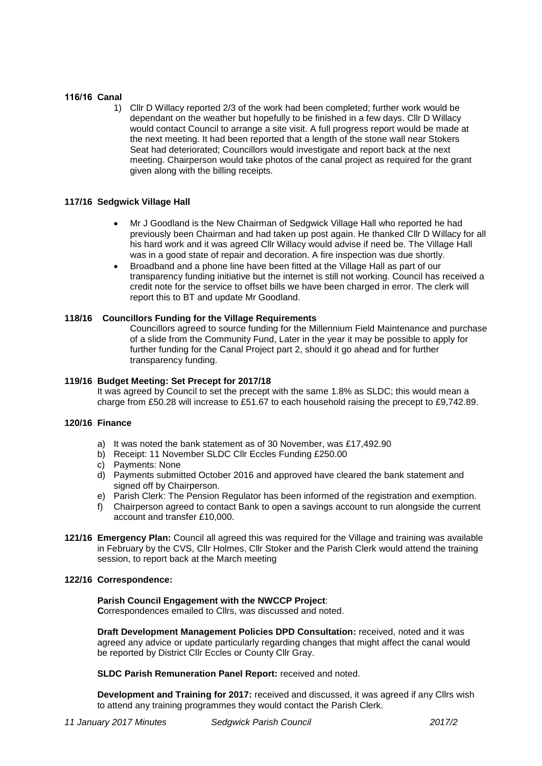# **116/16 Canal**

1) Cllr D Willacy reported 2/3 of the work had been completed; further work would be dependant on the weather but hopefully to be finished in a few days. Cllr D Willacy would contact Council to arrange a site visit. A full progress report would be made at the next meeting. It had been reported that a length of the stone wall near Stokers Seat had deteriorated; Councillors would investigate and report back at the next meeting. Chairperson would take photos of the canal project as required for the grant given along with the billing receipts.

# **117/16 Sedgwick Village Hall**

- Mr J Goodland is the New Chairman of Sedgwick Village Hall who reported he had previously been Chairman and had taken up post again. He thanked Cllr D Willacy for all his hard work and it was agreed Cllr Willacy would advise if need be. The Village Hall was in a good state of repair and decoration. A fire inspection was due shortly.
- Broadband and a phone line have been fitted at the Village Hall as part of our transparency funding initiative but the internet is still not working. Council has received a credit note for the service to offset bills we have been charged in error. The clerk will report this to BT and update Mr Goodland.

## **118/16 Councillors Funding for the Village Requirements**

Councillors agreed to source funding for the Millennium Field Maintenance and purchase of a slide from the Community Fund, Later in the year it may be possible to apply for further funding for the Canal Project part 2, should it go ahead and for further transparency funding.

## **119/16 Budget Meeting: Set Precept for 2017/18**

It was agreed by Council to set the precept with the same 1.8% as SLDC; this would mean a charge from £50.28 will increase to £51.67 to each household raising the precept to £9,742.89.

# **120/16 Finance**

- a) It was noted the bank statement as of 30 November, was £17,492.90
- b) Receipt: 11 November SLDC Cllr Eccles Funding £250.00
- c) Payments: None
- d) Payments submitted October 2016 and approved have cleared the bank statement and signed off by Chairperson.
- e) Parish Clerk: The Pension Regulator has been informed of the registration and exemption.
- f) Chairperson agreed to contact Bank to open a savings account to run alongside the current account and transfer £10,000.
- **121/16 Emergency Plan:** Council all agreed this was required for the Village and training was available in February by the CVS, Cllr Holmes, Cllr Stoker and the Parish Clerk would attend the training session, to report back at the March meeting

### **122/16 Correspondence:**

# **Parish Council Engagement with the NWCCP Project**:

**C**orrespondences emailed to Cllrs, was discussed and noted.

**Draft Development Management Policies DPD Consultation:** received, noted and it was agreed any advice or update particularly regarding changes that might affect the canal would be reported by District Cllr Eccles or County Cllr Gray.

### **SLDC Parish Remuneration Panel Report:** received and noted.

**Development and Training for 2017:** received and discussed, it was agreed if any Cllrs wish to attend any training programmes they would contact the Parish Clerk.